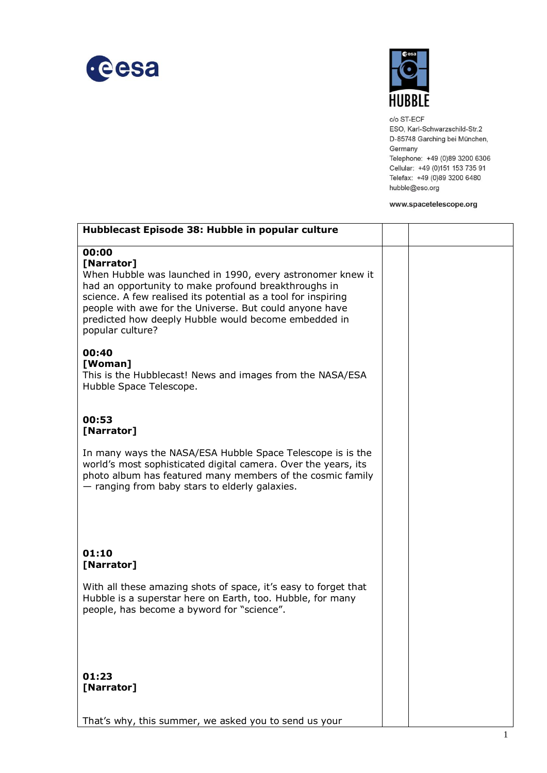



c/o ST-ECF ESO, Karl-Schwarzschild-Str.2 D-85748 Garching bei München, Germany Telephone: +49 (0)89 3200 6306 Cellular: +49 (0)151 153 735 91 Telefax: +49 (0)89 3200 6480 hubble@eso.org

## www.spacetelescope.org

| Hubblecast Episode 38: Hubble in popular culture                                                                                                                                                                                                                                                                                                  |  |
|---------------------------------------------------------------------------------------------------------------------------------------------------------------------------------------------------------------------------------------------------------------------------------------------------------------------------------------------------|--|
| 00:00<br>[Narrator]<br>When Hubble was launched in 1990, every astronomer knew it<br>had an opportunity to make profound breakthroughs in<br>science. A few realised its potential as a tool for inspiring<br>people with awe for the Universe. But could anyone have<br>predicted how deeply Hubble would become embedded in<br>popular culture? |  |
| 00:40<br>[Woman]<br>This is the Hubblecast! News and images from the NASA/ESA<br>Hubble Space Telescope.                                                                                                                                                                                                                                          |  |
| 00:53<br>[Narrator]                                                                                                                                                                                                                                                                                                                               |  |
| In many ways the NASA/ESA Hubble Space Telescope is is the<br>world's most sophisticated digital camera. Over the years, its<br>photo album has featured many members of the cosmic family<br>- ranging from baby stars to elderly galaxies.                                                                                                      |  |
| 01:10<br>[Narrator]                                                                                                                                                                                                                                                                                                                               |  |
| With all these amazing shots of space, it's easy to forget that<br>Hubble is a superstar here on Earth, too. Hubble, for many<br>people, has become a byword for "science".                                                                                                                                                                       |  |
| 01:23<br>[Narrator]                                                                                                                                                                                                                                                                                                                               |  |
| That's why, this summer, we asked you to send us your                                                                                                                                                                                                                                                                                             |  |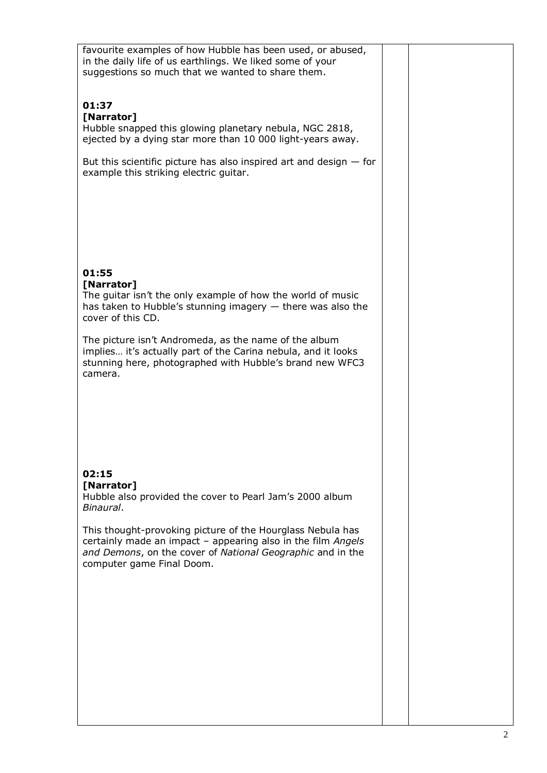| favourite examples of how Hubble has been used, or abused,<br>in the daily life of us earthlings. We liked some of your<br>suggestions so much that we wanted to share them.                                          |  |  |
|-----------------------------------------------------------------------------------------------------------------------------------------------------------------------------------------------------------------------|--|--|
| 01:37<br>[Narrator]<br>Hubble snapped this glowing planetary nebula, NGC 2818,<br>ejected by a dying star more than 10 000 light-years away.                                                                          |  |  |
| But this scientific picture has also inspired art and design $-$ for<br>example this striking electric guitar.                                                                                                        |  |  |
| 01:55                                                                                                                                                                                                                 |  |  |
| [Narrator]<br>The guitar isn't the only example of how the world of music<br>has taken to Hubble's stunning imagery $-$ there was also the<br>cover of this CD.                                                       |  |  |
| The picture isn't Andromeda, as the name of the album<br>implies it's actually part of the Carina nebula, and it looks<br>stunning here, photographed with Hubble's brand new WFC3<br>camera.                         |  |  |
| 02:15<br>[Narrator]                                                                                                                                                                                                   |  |  |
| Hubble also provided the cover to Pearl Jam's 2000 album<br>Binaural.                                                                                                                                                 |  |  |
| This thought-provoking picture of the Hourglass Nebula has<br>certainly made an impact - appearing also in the film Angels<br>and Demons, on the cover of National Geographic and in the<br>computer game Final Doom. |  |  |
|                                                                                                                                                                                                                       |  |  |
|                                                                                                                                                                                                                       |  |  |
|                                                                                                                                                                                                                       |  |  |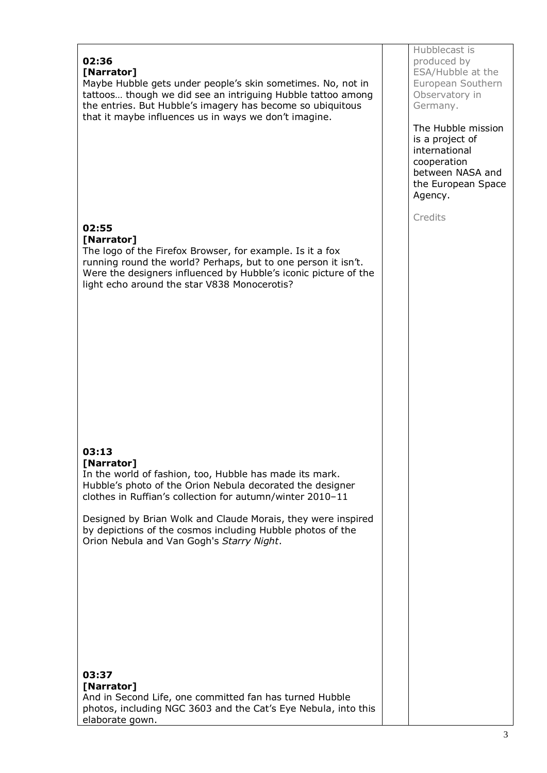## **02:36 [Narrator]** Maybe Hubble gets under people's skin sometimes. No, not in tattoos… though we did see an intriguing Hubble tattoo among the entries. But Hubble's imagery has become so ubiquitous that it maybe influences us in ways we don't imagine. **02:55 [Narrator]** The logo of the Firefox Browser, for example. Is it a fox running round the world? Perhaps, but to one person it isn't. Were the designers influenced by Hubble's iconic picture of the light echo around the star V838 Monocerotis? **03:13 [Narrator]** In the world of fashion, too, Hubble has made its mark. Hubble's photo of the Orion Nebula decorated the designer clothes in Ruffian's collection for autumn/winter 2010–11 Designed by Brian Wolk and Claude Morais, they were inspired by depictions of the cosmos including Hubble photos of the Orion Nebula and Van Gogh's *Starry Night*. **03:37 [Narrator]** And in Second Life, one committed fan has turned Hubble photos, including NGC 3603 and the Cat's Eye Nebula, into this elaborate gown.

Hubblecast is produced by ESA/Hubble at the European Southern Observatory in Germany.

The Hubble mission is a project of international cooperation between NASA and the European Space Agency.

**Credits**